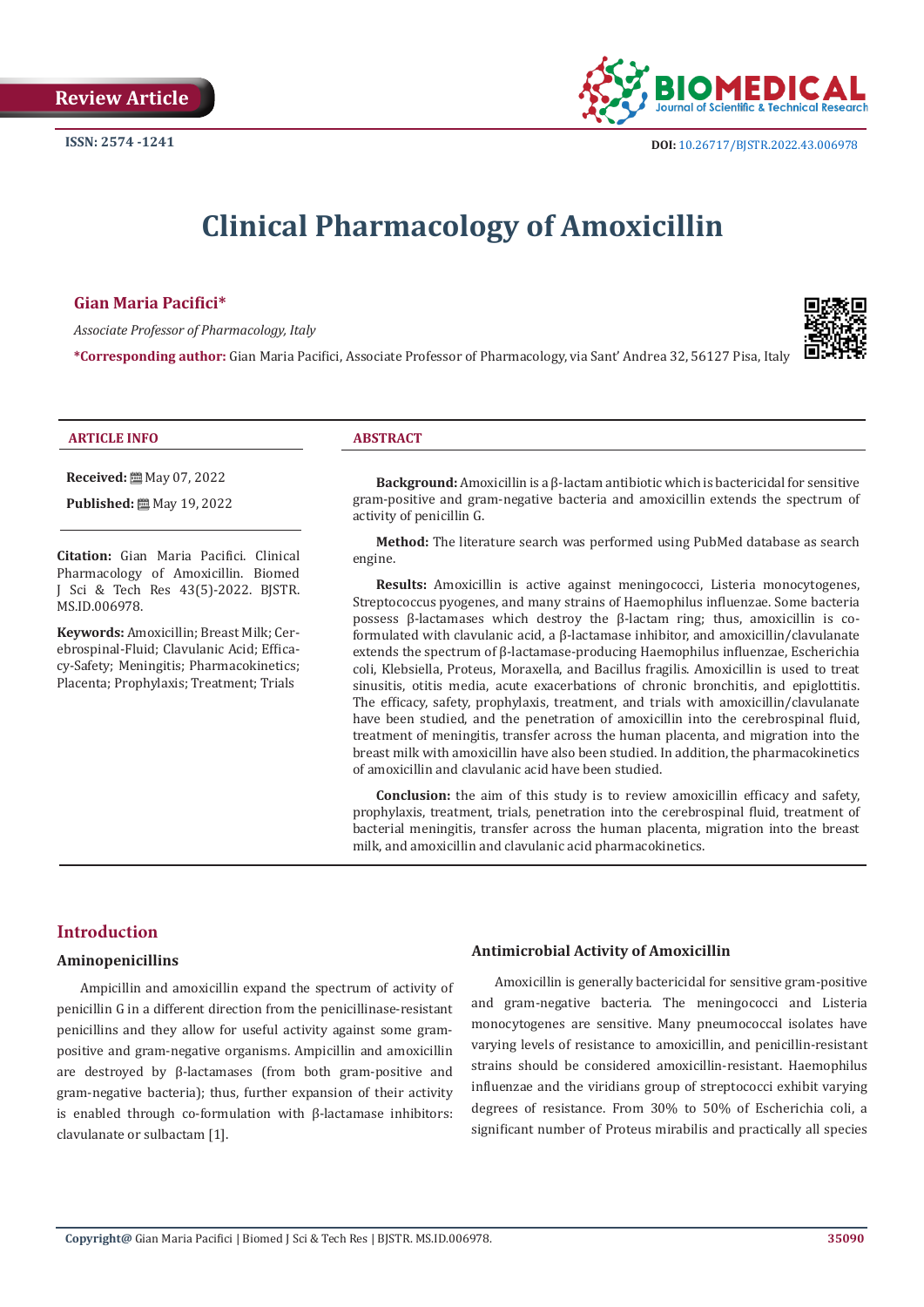

# **Clinical Pharmacology of Amoxicillin**

#### **Gian Maria Pacifici\***

*Associate Professor of Pharmacology, Italy*

**\*Corresponding author:** Gian Maria Pacifici, Associate Professor of Pharmacology, via Sant' Andrea 32, 56127 Pisa, Italy



#### **ARTICLE INFO ABSTRACT**

**Received:** ■ May 07, 2022

**Published:** 圖 May 19, 2022

**Citation:** Gian Maria Pacifici. Clinical Pharmacology of Amoxicillin. Biomed J Sci & Tech Res 43(5)-2022. BJSTR. MS.ID.006978.

**Keywords:** Amoxicillin; Breast Milk; Cerebrospinal-Fluid; Clavulanic Acid; Efficacy-Safety; Meningitis; Pharmacokinetics; Placenta; Prophylaxis; Treatment; Trials

**Background:** Amoxicillin is a β-lactam antibiotic which is bactericidal for sensitive gram-positive and gram-negative bacteria and amoxicillin extends the spectrum of activity of penicillin G.

**Method:** The literature search was performed using PubMed database as search engine.

**Results:** Amoxicillin is active against meningococci, Listeria monocytogenes, Streptococcus pyogenes, and many strains of Haemophilus influenzae. Some bacteria possess β-lactamases which destroy the β-lactam ring; thus, amoxicillin is coformulated with clavulanic acid, a β-lactamase inhibitor, and amoxicillin/clavulanate extends the spectrum of β-lactamase-producing Haemophilus influenzae, Escherichia coli, Klebsiella, Proteus, Moraxella, and Bacillus fragilis. Amoxicillin is used to treat sinusitis, otitis media, acute exacerbations of chronic bronchitis, and epiglottitis. The efficacy, safety, prophylaxis, treatment, and trials with amoxicillin/clavulanate have been studied, and the penetration of amoxicillin into the cerebrospinal fluid, treatment of meningitis, transfer across the human placenta, and migration into the breast milk with amoxicillin have also been studied. In addition, the pharmacokinetics of amoxicillin and clavulanic acid have been studied.

**Conclusion:** the aim of this study is to review amoxicillin efficacy and safety, prophylaxis, treatment, trials, penetration into the cerebrospinal fluid, treatment of bacterial meningitis, transfer across the human placenta, migration into the breast milk, and amoxicillin and clavulanic acid pharmacokinetics.

#### **Introduction**

#### **Aminopenicillins**

Ampicillin and amoxicillin expand the spectrum of activity of penicillin G in a different direction from the penicillinase-resistant penicillins and they allow for useful activity against some grampositive and gram-negative organisms. Ampicillin and amoxicillin are destroyed by β-lactamases (from both gram-positive and gram-negative bacteria); thus, further expansion of their activity is enabled through co-formulation with β-lactamase inhibitors: clavulanate or sulbactam [1].

#### **Antimicrobial Activity of Amoxicillin**

Amoxicillin is generally bactericidal for sensitive gram-positive and gram-negative bacteria. The meningococci and Listeria monocytogenes are sensitive. Many pneumococcal isolates have varying levels of resistance to amoxicillin, and penicillin-resistant strains should be considered amoxicillin-resistant. Haemophilus influenzae and the viridians group of streptococci exhibit varying degrees of resistance. From 30% to 50% of Escherichia coli, a significant number of Proteus mirabilis and practically all species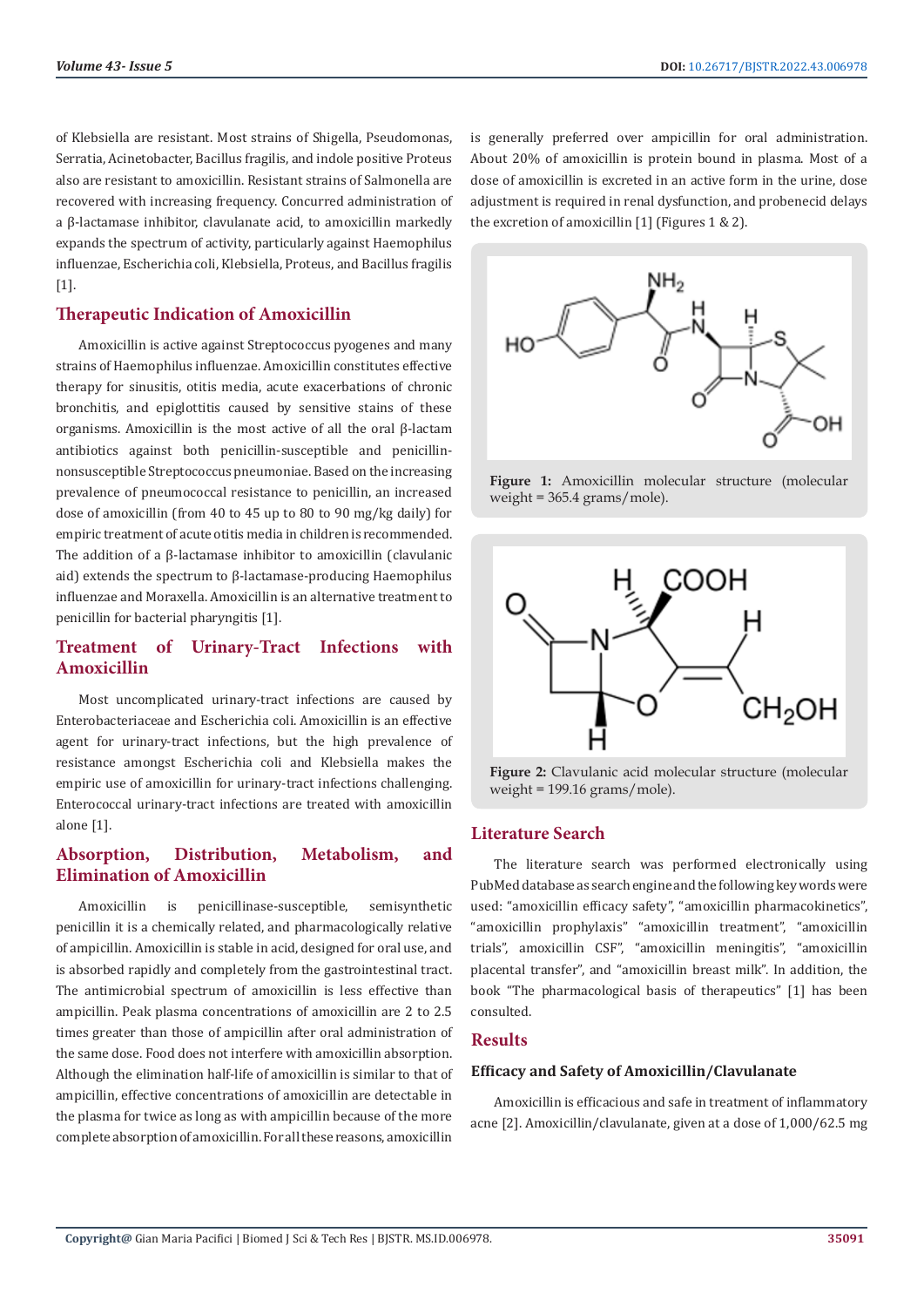of Klebsiella are resistant. Most strains of Shigella, Pseudomonas, Serratia, Acinetobacter, Bacillus fragilis, and indole positive Proteus also are resistant to amoxicillin. Resistant strains of Salmonella are recovered with increasing frequency. Concurred administration of a β-lactamase inhibitor, clavulanate acid, to amoxicillin markedly expands the spectrum of activity, particularly against Haemophilus influenzae, Escherichia coli, Klebsiella, Proteus, and Bacillus fragilis [1].

# **Therapeutic Indication of Amoxicillin**

Amoxicillin is active against Streptococcus pyogenes and many strains of Haemophilus influenzae. Amoxicillin constitutes effective therapy for sinusitis, otitis media, acute exacerbations of chronic bronchitis, and epiglottitis caused by sensitive stains of these organisms. Amoxicillin is the most active of all the oral β-lactam antibiotics against both penicillin-susceptible and penicillinnonsusceptible Streptococcus pneumoniae. Based on the increasing prevalence of pneumococcal resistance to penicillin, an increased dose of amoxicillin (from 40 to 45 up to 80 to 90 mg/kg daily) for empiric treatment of acute otitis media in children is recommended. The addition of a β-lactamase inhibitor to amoxicillin (clavulanic aid) extends the spectrum to β-lactamase-producing Haemophilus influenzae and Moraxella. Amoxicillin is an alternative treatment to penicillin for bacterial pharyngitis [1].

# **Treatment of Urinary-Tract Infections with Amoxicillin**

Most uncomplicated urinary-tract infections are caused by Enterobacteriaceae and Escherichia coli. Amoxicillin is an effective agent for urinary-tract infections, but the high prevalence of resistance amongst Escherichia coli and Klebsiella makes the empiric use of amoxicillin for urinary-tract infections challenging. Enterococcal urinary-tract infections are treated with amoxicillin alone [1].

# **Absorption, Distribution, Metabolism, and Elimination of Amoxicillin**

Amoxicillin is penicillinase-susceptible, semisynthetic penicillin it is a chemically related, and pharmacologically relative of ampicillin. Amoxicillin is stable in acid, designed for oral use, and is absorbed rapidly and completely from the gastrointestinal tract. The antimicrobial spectrum of amoxicillin is less effective than ampicillin. Peak plasma concentrations of amoxicillin are 2 to 2.5 times greater than those of ampicillin after oral administration of the same dose. Food does not interfere with amoxicillin absorption. Although the elimination half-life of amoxicillin is similar to that of ampicillin, effective concentrations of amoxicillin are detectable in the plasma for twice as long as with ampicillin because of the more complete absorption of amoxicillin. For all these reasons, amoxicillin

is generally preferred over ampicillin for oral administration. About 20% of amoxicillin is protein bound in plasma. Most of a dose of amoxicillin is excreted in an active form in the urine, dose adjustment is required in renal dysfunction, and probenecid delays the excretion of amoxicillin [1] (Figures 1 & 2).



**Figure 1:** Amoxicillin molecular structure (molecular weight = 365.4 grams/mole).



**Figure 2:** Clavulanic acid molecular structure (molecular weight = 199.16 grams/mole).

#### **Literature Search**

The literature search was performed electronically using PubMed database as search engine and the following key words were used: "amoxicillin efficacy safety", "amoxicillin pharmacokinetics", "amoxicillin prophylaxis" "amoxicillin treatment", "amoxicillin trials", amoxicillin CSF", "amoxicillin meningitis", "amoxicillin placental transfer", and "amoxicillin breast milk". In addition, the book "The pharmacological basis of therapeutics" [1] has been consulted.

#### **Results**

#### **Efficacy and Safety of Amoxicillin/Clavulanate**

Amoxicillin is efficacious and safe in treatment of inflammatory acne [2]. Amoxicillin/clavulanate, given at a dose of 1,000/62.5 mg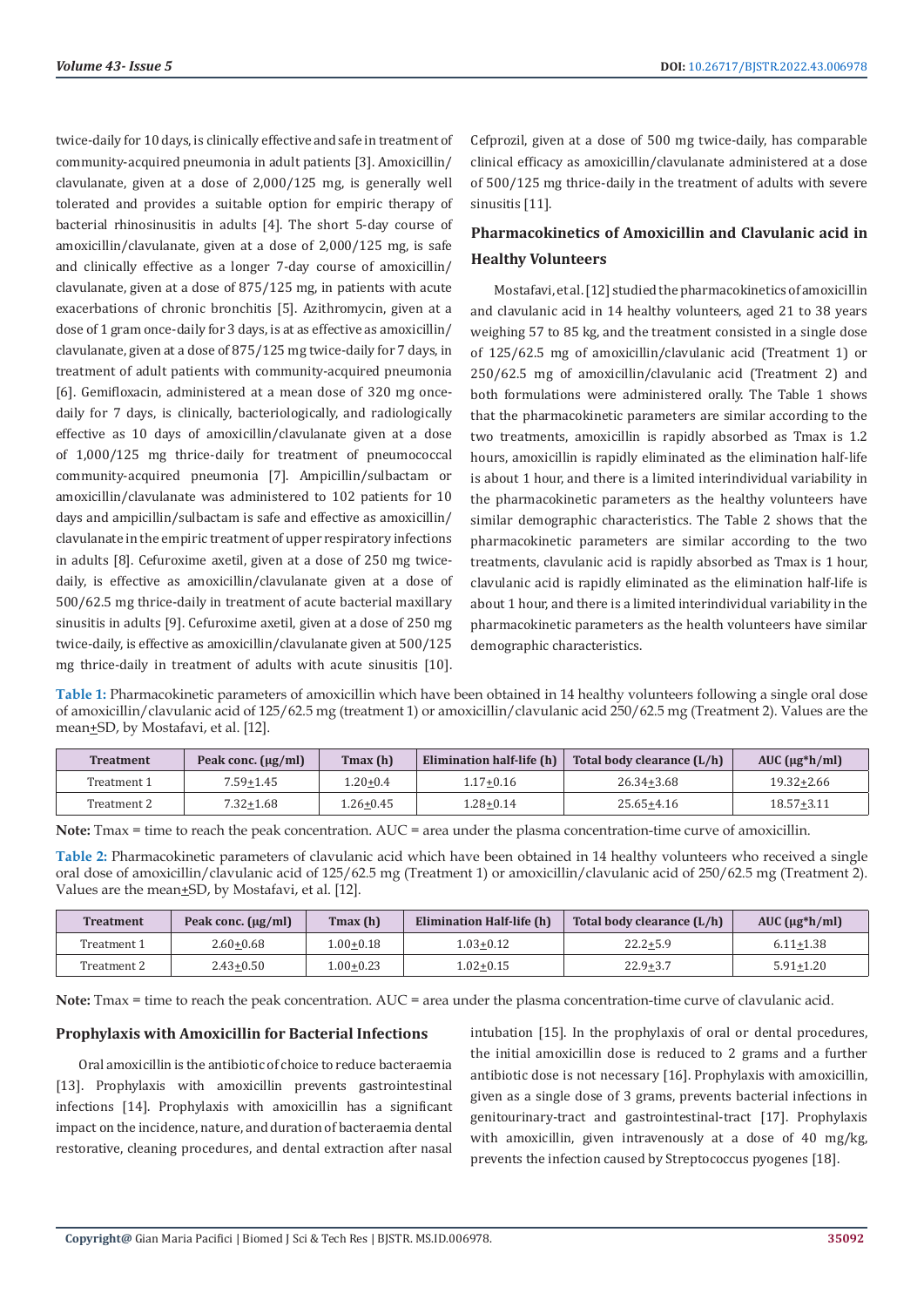twice-daily for 10 days, is clinically effective and safe in treatment of community-acquired pneumonia in adult patients [3]. Amoxicillin/ clavulanate, given at a dose of 2,000/125 mg, is generally well tolerated and provides a suitable option for empiric therapy of bacterial rhinosinusitis in adults [4]. The short 5-day course of amoxicillin/clavulanate, given at a dose of 2,000/125 mg, is safe and clinically effective as a longer 7-day course of amoxicillin/ clavulanate, given at a dose of 875/125 mg, in patients with acute exacerbations of chronic bronchitis [5]. Azithromycin, given at a dose of 1 gram once-daily for 3 days, is at as effective as amoxicillin/ clavulanate, given at a dose of 875/125 mg twice-daily for 7 days, in treatment of adult patients with community-acquired pneumonia [6]. Gemifloxacin, administered at a mean dose of 320 mg oncedaily for 7 days, is clinically, bacteriologically, and radiologically effective as 10 days of amoxicillin/clavulanate given at a dose of 1,000/125 mg thrice-daily for treatment of pneumococcal community-acquired pneumonia [7]. Ampicillin/sulbactam or amoxicillin/clavulanate was administered to 102 patients for 10 days and ampicillin/sulbactam is safe and effective as amoxicillin/ clavulanate in the empiric treatment of upper respiratory infections in adults [8]. Cefuroxime axetil, given at a dose of 250 mg twicedaily, is effective as amoxicillin/clavulanate given at a dose of 500/62.5 mg thrice-daily in treatment of acute bacterial maxillary sinusitis in adults [9]. Cefuroxime axetil, given at a dose of 250 mg twice-daily, is effective as amoxicillin/clavulanate given at 500/125 mg thrice-daily in treatment of adults with acute sinusitis [10].

Cefprozil, given at a dose of 500 mg twice-daily, has comparable clinical efficacy as amoxicillin/clavulanate administered at a dose of 500/125 mg thrice-daily in the treatment of adults with severe sinusitis [11].

# **Pharmacokinetics of Amoxicillin and Clavulanic acid in Healthy Volunteers**

Mostafavi, et al. [12] studied the pharmacokinetics of amoxicillin and clavulanic acid in 14 healthy volunteers, aged 21 to 38 years weighing 57 to 85 kg, and the treatment consisted in a single dose of 125/62.5 mg of amoxicillin/clavulanic acid (Treatment 1) or 250/62.5 mg of amoxicillin/clavulanic acid (Treatment 2) and both formulations were administered orally. The Table 1 shows that the pharmacokinetic parameters are similar according to the two treatments, amoxicillin is rapidly absorbed as Tmax is 1.2 hours, amoxicillin is rapidly eliminated as the elimination half-life is about 1 hour, and there is a limited interindividual variability in the pharmacokinetic parameters as the healthy volunteers have similar demographic characteristics. The Table 2 shows that the pharmacokinetic parameters are similar according to the two treatments, clavulanic acid is rapidly absorbed as Tmax is 1 hour, clavulanic acid is rapidly eliminated as the elimination half-life is about 1 hour, and there is a limited interindividual variability in the pharmacokinetic parameters as the health volunteers have similar demographic characteristics.

**Table 1:** Pharmacokinetic parameters of amoxicillin which have been obtained in 14 healthy volunteers following a single oral dose of amoxicillin/clavulanic acid of 125/62.5 mg (treatment 1) or amoxicillin/clavulanic acid 250/62.5 mg (Treatment 2). Values are the mean+SD, by Mostafavi, et al. [12].

| <b>Treatment</b> | Tmax (h)<br>Peak conc. $(\mu g/ml)$ |              | Elimination half-life (h) | Total body clearance (L/h) | AUC $(\mu g * h / ml)$ |  |
|------------------|-------------------------------------|--------------|---------------------------|----------------------------|------------------------|--|
| Treatment 1      | $7.59 + 1.45$                       | $1.20 + 0.4$ | $1.17 + 0.16$             | $26.34 + 3.68$             | 19.32+2.66             |  |
| Treatment 2      | $7.32 + 1.68$                       | $26+0.45$    | 1.28+0.14                 | $25.65 + 4.16$             | $18.57 + 3.11$         |  |

**Note:** Tmax = time to reach the peak concentration. AUC = area under the plasma concentration-time curve of amoxicillin.

**Table 2:** Pharmacokinetic parameters of clavulanic acid which have been obtained in 14 healthy volunteers who received a single oral dose of amoxicillin/clavulanic acid of 125/62.5 mg (Treatment 1) or amoxicillin/clavulanic acid of 250/62.5 mg (Treatment 2). Values are the mean<sup>+</sup>SD, by Mostafavi, et al. [12].

| Treatment   | Tmax(h)<br>Peak conc. $(\mu g/ml)$ |           | Elimination Half-life (h) | Total body clearance (L/h) | $AUC$ ( $\mu$ g*h/ml) |  |
|-------------|------------------------------------|-----------|---------------------------|----------------------------|-----------------------|--|
| Treatment 1 | $2.60 + 0.68$                      | 1.00+0.18 | 1.03+0.12                 | $22.2 + 5.9$               | $6.11 + 1.38$         |  |
| Treatment 2 | $2.43 + 0.50$                      | 1.00+0.23 | 1.02+0.15                 | $22.9 + 3.7$               | $5.91 + 1.20$         |  |

**Note:** Tmax = time to reach the peak concentration. AUC = area under the plasma concentration-time curve of clavulanic acid.

#### **Prophylaxis with Amoxicillin for Bacterial Infections**

Oral amoxicillin is the antibiotic of choice to reduce bacteraemia [13]. Prophylaxis with amoxicillin prevents gastrointestinal infections [14]. Prophylaxis with amoxicillin has a significant impact on the incidence, nature, and duration of bacteraemia dental restorative, cleaning procedures, and dental extraction after nasal

intubation [15]. In the prophylaxis of oral or dental procedures, the initial amoxicillin dose is reduced to 2 grams and a further antibiotic dose is not necessary [16]. Prophylaxis with amoxicillin, given as a single dose of 3 grams, prevents bacterial infections in genitourinary-tract and gastrointestinal-tract [17]. Prophylaxis with amoxicillin, given intravenously at a dose of 40 mg/kg, prevents the infection caused by Streptococcus pyogenes [18].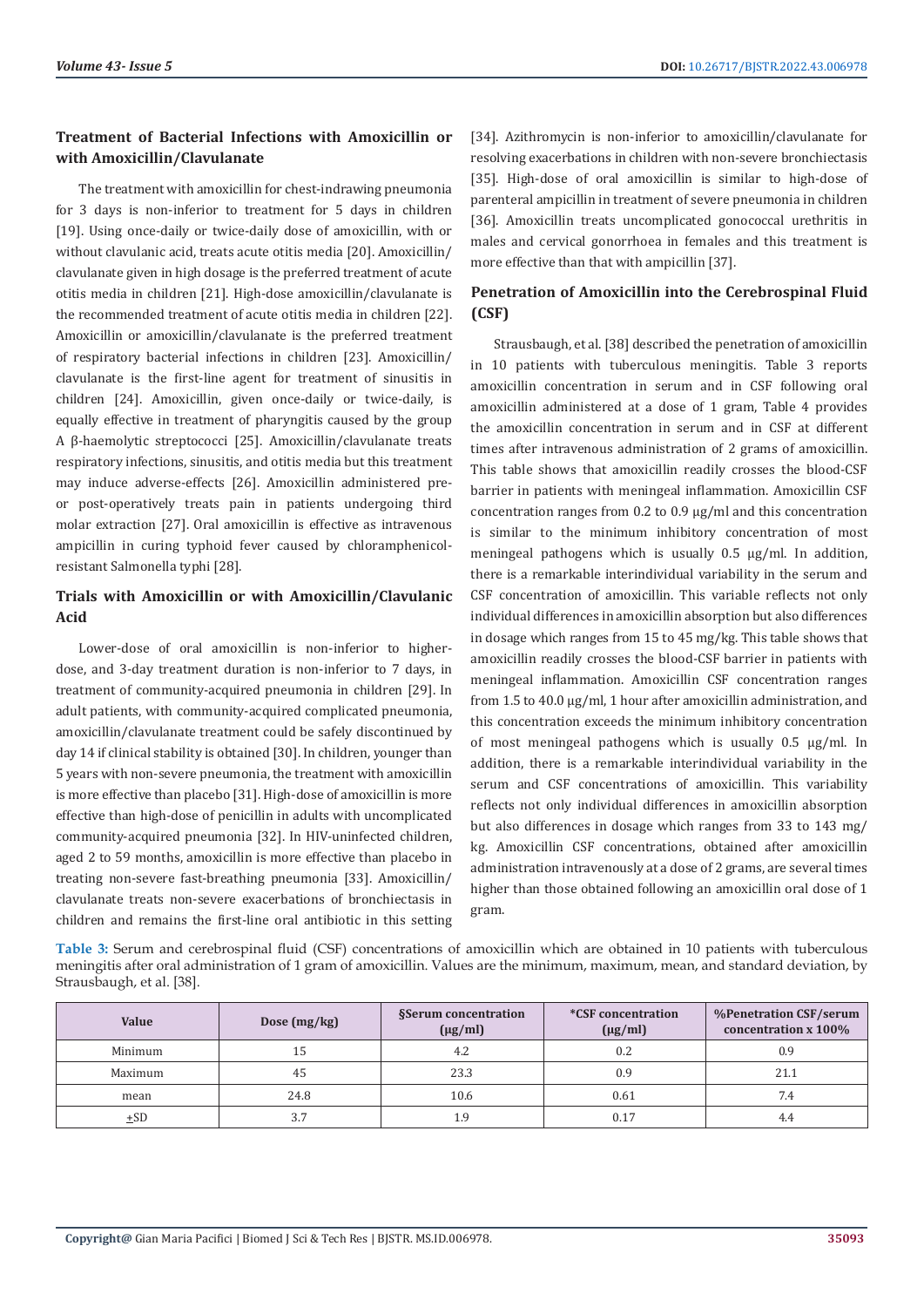#### **Treatment of Bacterial Infections with Amoxicillin or with Amoxicillin/Clavulanate**

The treatment with amoxicillin for chest-indrawing pneumonia for 3 days is non-inferior to treatment for 5 days in children [19]. Using once-daily or twice-daily dose of amoxicillin, with or without clavulanic acid, treats acute otitis media [20]. Amoxicillin/ clavulanate given in high dosage is the preferred treatment of acute otitis media in children [21]. High-dose amoxicillin/clavulanate is the recommended treatment of acute otitis media in children [22]. Amoxicillin or amoxicillin/clavulanate is the preferred treatment of respiratory bacterial infections in children [23]. Amoxicillin/ clavulanate is the first-line agent for treatment of sinusitis in children [24]. Amoxicillin, given once-daily or twice-daily, is equally effective in treatment of pharyngitis caused by the group A β-haemolytic streptococci [25]. Amoxicillin/clavulanate treats respiratory infections, sinusitis, and otitis media but this treatment may induce adverse-effects [26]. Amoxicillin administered preor post-operatively treats pain in patients undergoing third molar extraction [27]. Oral amoxicillin is effective as intravenous ampicillin in curing typhoid fever caused by chloramphenicolresistant Salmonella typhi [28].

# **Trials with Amoxicillin or with Amoxicillin/Clavulanic Acid**

Lower-dose of oral amoxicillin is non-inferior to higherdose, and 3-day treatment duration is non-inferior to 7 days, in treatment of community-acquired pneumonia in children [29]. In adult patients, with community-acquired complicated pneumonia, amoxicillin/clavulanate treatment could be safely discontinued by day 14 if clinical stability is obtained [30]. In children, younger than 5 years with non-severe pneumonia, the treatment with amoxicillin is more effective than placebo [31]. High-dose of amoxicillin is more effective than high-dose of penicillin in adults with uncomplicated community-acquired pneumonia [32]. In HIV-uninfected children, aged 2 to 59 months, amoxicillin is more effective than placebo in treating non-severe fast-breathing pneumonia [33]. Amoxicillin/ clavulanate treats non-severe exacerbations of bronchiectasis in children and remains the first-line oral antibiotic in this setting [34]. Azithromycin is non-inferior to amoxicillin/clavulanate for resolving exacerbations in children with non-severe bronchiectasis [35]. High-dose of oral amoxicillin is similar to high-dose of parenteral ampicillin in treatment of severe pneumonia in children [36]. Amoxicillin treats uncomplicated gonococcal urethritis in males and cervical gonorrhoea in females and this treatment is more effective than that with ampicillin [37].

# **Penetration of Amoxicillin into the Cerebrospinal Fluid (CSF)**

Strausbaugh, et al. [38] described the penetration of amoxicillin in 10 patients with tuberculous meningitis. Table 3 reports amoxicillin concentration in serum and in CSF following oral amoxicillin administered at a dose of 1 gram, Table 4 provides the amoxicillin concentration in serum and in CSF at different times after intravenous administration of 2 grams of amoxicillin. This table shows that amoxicillin readily crosses the blood-CSF barrier in patients with meningeal inflammation. Amoxicillin CSF concentration ranges from 0.2 to 0.9 µg/ml and this concentration is similar to the minimum inhibitory concentration of most meningeal pathogens which is usually 0.5 µg/ml. In addition, there is a remarkable interindividual variability in the serum and CSF concentration of amoxicillin. This variable reflects not only individual differences in amoxicillin absorption but also differences in dosage which ranges from 15 to 45 mg/kg. This table shows that amoxicillin readily crosses the blood-CSF barrier in patients with meningeal inflammation. Amoxicillin CSF concentration ranges from 1.5 to 40.0 µg/ml, 1 hour after amoxicillin administration, and this concentration exceeds the minimum inhibitory concentration of most meningeal pathogens which is usually 0.5 µg/ml. In addition, there is a remarkable interindividual variability in the serum and CSF concentrations of amoxicillin. This variability reflects not only individual differences in amoxicillin absorption but also differences in dosage which ranges from 33 to 143 mg/ kg. Amoxicillin CSF concentrations, obtained after amoxicillin administration intravenously at a dose of 2 grams, are several times higher than those obtained following an amoxicillin oral dose of 1 gram.

**Table 3:** Serum and cerebrospinal fluid (CSF) concentrations of amoxicillin which are obtained in 10 patients with tuberculous meningitis after oral administration of 1 gram of amoxicillin. Values are the minimum, maximum, mean, and standard deviation, by Strausbaugh, et al. [38].

| Value    | Dose $(mg/kg)$ | <b>§Serum concentration</b><br>$(\mu g/ml)$ | <i>*CSF</i> concentration<br>$(\mu g/ml)$ | %Penetration CSF/serum<br>concentration x 100% |  |
|----------|----------------|---------------------------------------------|-------------------------------------------|------------------------------------------------|--|
| Minimum  | 15             | 4.2                                         | 0.2                                       | 0.9                                            |  |
| Maximum  | 45             | 23.3                                        | 0.9                                       | 21.1                                           |  |
| mean     | 24.8           | 10.6                                        | 0.61                                      | 7.4                                            |  |
| $\pm$ SD | 3.7            | 1.9                                         | 0.17                                      | 4.4                                            |  |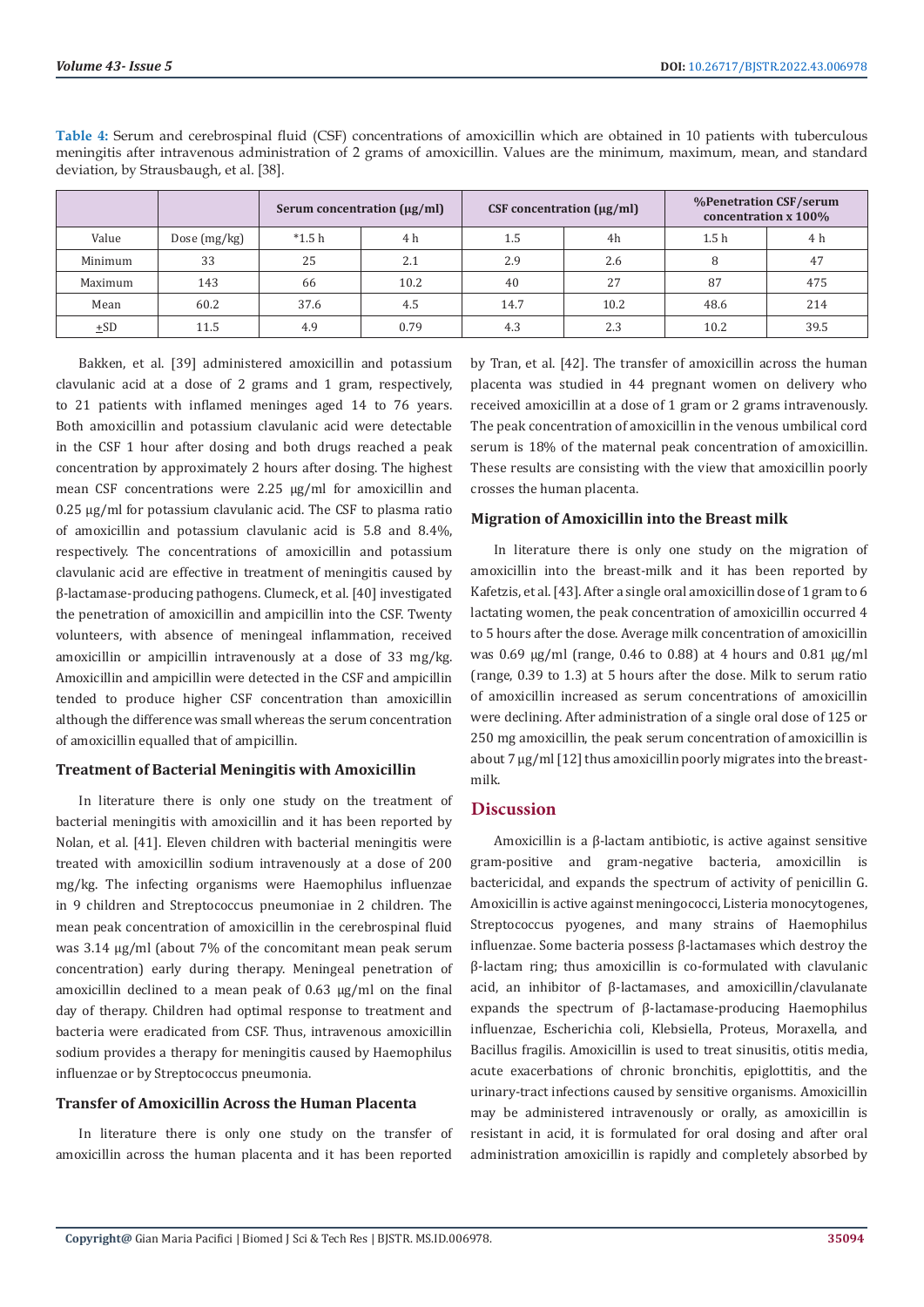|         |                | Serum concentration $(\mu g/ml)$ |      | CSF concentration $(\mu g/ml)$ |      | %Penetration CSF/serum<br>concentration x 100% |      |
|---------|----------------|----------------------------------|------|--------------------------------|------|------------------------------------------------|------|
| Value   | Dose $(mg/kg)$ | $*1.5h$                          | 4 h  | 1.5                            | 4h   | 1.5 <sub>h</sub>                               | 4 h  |
| Minimum | 33             | 25                               | 2.1  | 2.9                            | 2.6  | 8                                              | 47   |
| Maximum | 143            | 66                               | 10.2 | 40                             | 27   | 87                                             | 475  |
| Mean    | 60.2           | 37.6                             | 4.5  | 14.7                           | 10.2 | 48.6                                           | 214  |
| $+SD$   | 11.5           | 4.9                              | 0.79 | 4.3                            | 2.3  | 10.2                                           | 39.5 |

**Table 4:** Serum and cerebrospinal fluid (CSF) concentrations of amoxicillin which are obtained in 10 patients with tuberculous meningitis after intravenous administration of 2 grams of amoxicillin. Values are the minimum, maximum, mean, and standard deviation, by Strausbaugh, et al. [38].

Bakken, et al. [39] administered amoxicillin and potassium clavulanic acid at a dose of 2 grams and 1 gram, respectively, to 21 patients with inflamed meninges aged 14 to 76 years. Both amoxicillin and potassium clavulanic acid were detectable in the CSF 1 hour after dosing and both drugs reached a peak concentration by approximately 2 hours after dosing. The highest mean CSF concentrations were 2.25 µg/ml for amoxicillin and 0.25 µg/ml for potassium clavulanic acid. The CSF to plasma ratio of amoxicillin and potassium clavulanic acid is 5.8 and 8.4%, respectively. The concentrations of amoxicillin and potassium clavulanic acid are effective in treatment of meningitis caused by β-lactamase-producing pathogens. Clumeck, et al. [40] investigated the penetration of amoxicillin and ampicillin into the CSF. Twenty volunteers, with absence of meningeal inflammation, received amoxicillin or ampicillin intravenously at a dose of 33 mg/kg. Amoxicillin and ampicillin were detected in the CSF and ampicillin tended to produce higher CSF concentration than amoxicillin although the difference was small whereas the serum concentration of amoxicillin equalled that of ampicillin.

#### **Treatment of Bacterial Meningitis with Amoxicillin**

In literature there is only one study on the treatment of bacterial meningitis with amoxicillin and it has been reported by Nolan, et al. [41]. Eleven children with bacterial meningitis were treated with amoxicillin sodium intravenously at a dose of 200 mg/kg. The infecting organisms were Haemophilus influenzae in 9 children and Streptococcus pneumoniae in 2 children. The mean peak concentration of amoxicillin in the cerebrospinal fluid was 3.14 µg/ml (about 7% of the concomitant mean peak serum concentration) early during therapy. Meningeal penetration of amoxicillin declined to a mean peak of 0.63 µg/ml on the final day of therapy. Children had optimal response to treatment and bacteria were eradicated from CSF. Thus, intravenous amoxicillin sodium provides a therapy for meningitis caused by Haemophilus influenzae or by Streptococcus pneumonia.

#### **Transfer of Amoxicillin Across the Human Placenta**

In literature there is only one study on the transfer of amoxicillin across the human placenta and it has been reported

by Tran, et al. [42]. The transfer of amoxicillin across the human placenta was studied in 44 pregnant women on delivery who received amoxicillin at a dose of 1 gram or 2 grams intravenously. The peak concentration of amoxicillin in the venous umbilical cord serum is 18% of the maternal peak concentration of amoxicillin. These results are consisting with the view that amoxicillin poorly crosses the human placenta.

#### **Migration of Amoxicillin into the Breast milk**

In literature there is only one study on the migration of amoxicillin into the breast-milk and it has been reported by Kafetzis, et al. [43]. After a single oral amoxicillin dose of 1 gram to 6 lactating women, the peak concentration of amoxicillin occurred 4 to 5 hours after the dose. Average milk concentration of amoxicillin was 0.69 µg/ml (range, 0.46 to 0.88) at 4 hours and 0.81 µg/ml (range, 0.39 to 1.3) at 5 hours after the dose. Milk to serum ratio of amoxicillin increased as serum concentrations of amoxicillin were declining. After administration of a single oral dose of 125 or 250 mg amoxicillin, the peak serum concentration of amoxicillin is about 7 ug/ml [12] thus amoxicillin poorly migrates into the breastmilk.

#### **Discussion**

Amoxicillin is a β-lactam antibiotic, is active against sensitive gram-positive and gram-negative bacteria, amoxicillin is bactericidal, and expands the spectrum of activity of penicillin G. Amoxicillin is active against meningococci, Listeria monocytogenes, Streptococcus pyogenes, and many strains of Haemophilus influenzae. Some bacteria possess β-lactamases which destroy the β-lactam ring; thus amoxicillin is co-formulated with clavulanic acid, an inhibitor of β-lactamases, and amoxicillin/clavulanate expands the spectrum of β-lactamase-producing Haemophilus influenzae, Escherichia coli, Klebsiella, Proteus, Moraxella, and Bacillus fragilis. Amoxicillin is used to treat sinusitis, otitis media, acute exacerbations of chronic bronchitis, epiglottitis, and the urinary-tract infections caused by sensitive organisms. Amoxicillin may be administered intravenously or orally, as amoxicillin is resistant in acid, it is formulated for oral dosing and after oral administration amoxicillin is rapidly and completely absorbed by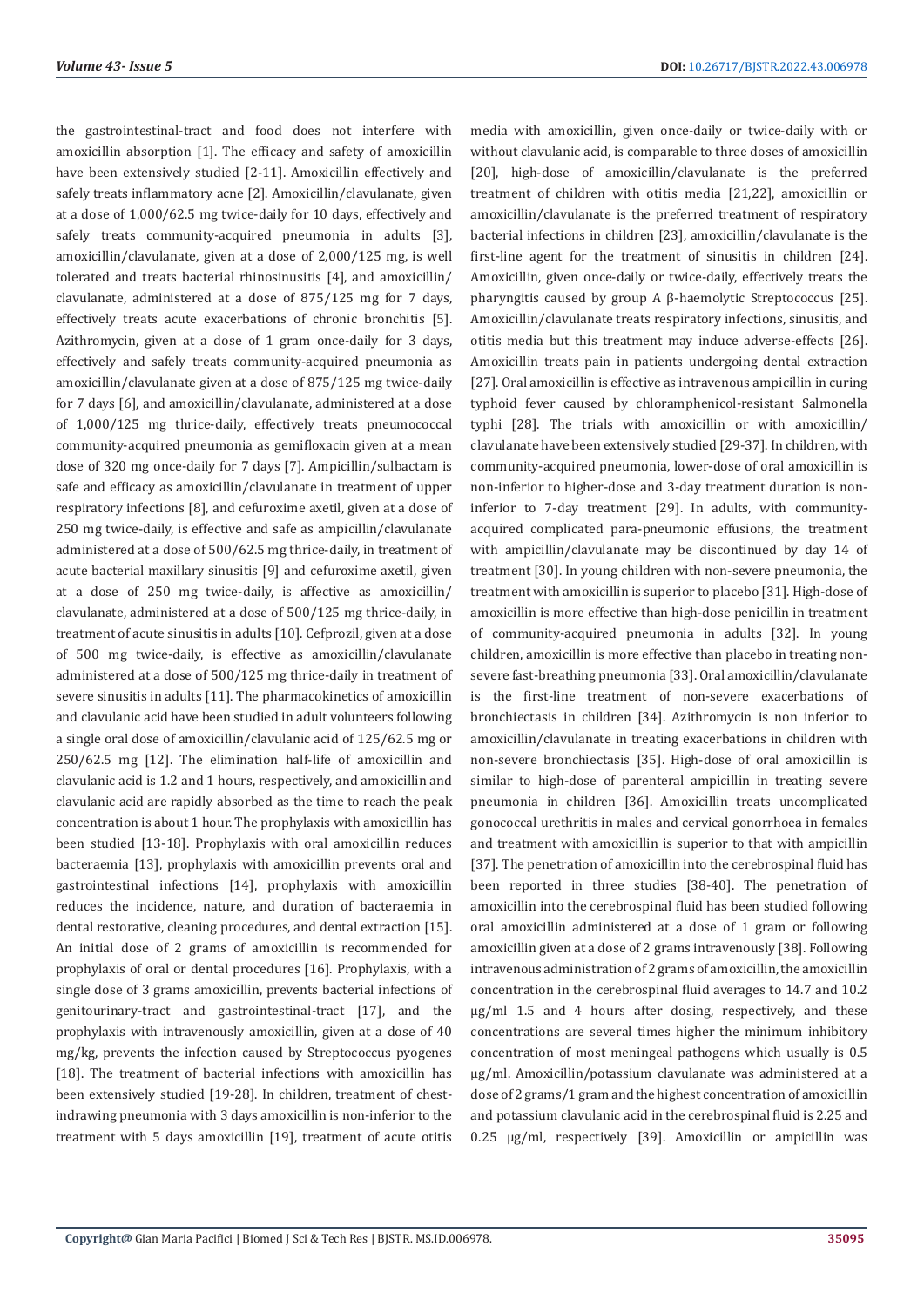the gastrointestinal-tract and food does not interfere with amoxicillin absorption [1]. The efficacy and safety of amoxicillin have been extensively studied [2-11]. Amoxicillin effectively and safely treats inflammatory acne [2]. Amoxicillin/clavulanate, given at a dose of 1,000/62.5 mg twice-daily for 10 days, effectively and safely treats community-acquired pneumonia in adults [3]. amoxicillin/clavulanate, given at a dose of 2,000/125 mg, is well tolerated and treats bacterial rhinosinusitis [4], and amoxicillin/ clavulanate, administered at a dose of 875/125 mg for 7 days, effectively treats acute exacerbations of chronic bronchitis [5]. Azithromycin, given at a dose of 1 gram once-daily for 3 days, effectively and safely treats community-acquired pneumonia as amoxicillin/clavulanate given at a dose of 875/125 mg twice-daily for 7 days [6], and amoxicillin/clavulanate, administered at a dose of 1,000/125 mg thrice-daily, effectively treats pneumococcal community-acquired pneumonia as gemifloxacin given at a mean dose of 320 mg once-daily for 7 days [7]. Ampicillin/sulbactam is safe and efficacy as amoxicillin/clavulanate in treatment of upper respiratory infections [8], and cefuroxime axetil, given at a dose of 250 mg twice-daily, is effective and safe as ampicillin/clavulanate administered at a dose of 500/62.5 mg thrice-daily, in treatment of acute bacterial maxillary sinusitis [9] and cefuroxime axetil, given at a dose of 250 mg twice-daily, is affective as amoxicillin/ clavulanate, administered at a dose of 500/125 mg thrice-daily, in treatment of acute sinusitis in adults [10]. Cefprozil, given at a dose of 500 mg twice-daily, is effective as amoxicillin/clavulanate administered at a dose of 500/125 mg thrice-daily in treatment of severe sinusitis in adults [11]. The pharmacokinetics of amoxicillin and clavulanic acid have been studied in adult volunteers following a single oral dose of amoxicillin/clavulanic acid of 125/62.5 mg or 250/62.5 mg [12]. The elimination half-life of amoxicillin and clavulanic acid is 1.2 and 1 hours, respectively, and amoxicillin and clavulanic acid are rapidly absorbed as the time to reach the peak concentration is about 1 hour. The prophylaxis with amoxicillin has been studied [13-18]. Prophylaxis with oral amoxicillin reduces bacteraemia [13], prophylaxis with amoxicillin prevents oral and gastrointestinal infections [14], prophylaxis with amoxicillin reduces the incidence, nature, and duration of bacteraemia in dental restorative, cleaning procedures, and dental extraction [15]. An initial dose of 2 grams of amoxicillin is recommended for prophylaxis of oral or dental procedures [16]. Prophylaxis, with a single dose of 3 grams amoxicillin, prevents bacterial infections of genitourinary-tract and gastrointestinal-tract [17], and the prophylaxis with intravenously amoxicillin, given at a dose of 40 mg/kg, prevents the infection caused by Streptococcus pyogenes [18]. The treatment of bacterial infections with amoxicillin has been extensively studied [19-28]. In children, treatment of chestindrawing pneumonia with 3 days amoxicillin is non-inferior to the treatment with 5 days amoxicillin [19], treatment of acute otitis

media with amoxicillin, given once-daily or twice-daily with or without clavulanic acid, is comparable to three doses of amoxicillin [20], high-dose of amoxicillin/clavulanate is the preferred treatment of children with otitis media [21,22], amoxicillin or amoxicillin/clavulanate is the preferred treatment of respiratory bacterial infections in children [23], amoxicillin/clavulanate is the first-line agent for the treatment of sinusitis in children [24]. Amoxicillin, given once-daily or twice-daily, effectively treats the pharyngitis caused by group A β-haemolytic Streptococcus [25]. Amoxicillin/clavulanate treats respiratory infections, sinusitis, and otitis media but this treatment may induce adverse-effects [26]. Amoxicillin treats pain in patients undergoing dental extraction [27]. Oral amoxicillin is effective as intravenous ampicillin in curing typhoid fever caused by chloramphenicol-resistant Salmonella typhi [28]. The trials with amoxicillin or with amoxicillin/ clavulanate have been extensively studied [29-37]. In children, with community-acquired pneumonia, lower-dose of oral amoxicillin is non-inferior to higher-dose and 3-day treatment duration is noninferior to 7-day treatment [29]. In adults, with communityacquired complicated para-pneumonic effusions, the treatment with ampicillin/clavulanate may be discontinued by day 14 of treatment [30]. In young children with non-severe pneumonia, the treatment with amoxicillin is superior to placebo [31]. High-dose of amoxicillin is more effective than high-dose penicillin in treatment of community-acquired pneumonia in adults [32]. In young children, amoxicillin is more effective than placebo in treating nonsevere fast-breathing pneumonia [33]. Oral amoxicillin/clavulanate is the first-line treatment of non-severe exacerbations of bronchiectasis in children [34]. Azithromycin is non inferior to amoxicillin/clavulanate in treating exacerbations in children with non-severe bronchiectasis [35]. High-dose of oral amoxicillin is similar to high-dose of parenteral ampicillin in treating severe pneumonia in children [36]. Amoxicillin treats uncomplicated gonococcal urethritis in males and cervical gonorrhoea in females and treatment with amoxicillin is superior to that with ampicillin [37]. The penetration of amoxicillin into the cerebrospinal fluid has been reported in three studies [38-40]. The penetration of amoxicillin into the cerebrospinal fluid has been studied following oral amoxicillin administered at a dose of 1 gram or following amoxicillin given at a dose of 2 grams intravenously [38]. Following intravenous administration of 2 grams of amoxicillin, the amoxicillin concentration in the cerebrospinal fluid averages to 14.7 and 10.2 µg/ml 1.5 and 4 hours after dosing, respectively, and these concentrations are several times higher the minimum inhibitory concentration of most meningeal pathogens which usually is 0.5 µg/ml. Amoxicillin/potassium clavulanate was administered at a dose of 2 grams/1 gram and the highest concentration of amoxicillin and potassium clavulanic acid in the cerebrospinal fluid is 2.25 and 0.25 µg/ml, respectively [39]. Amoxicillin or ampicillin was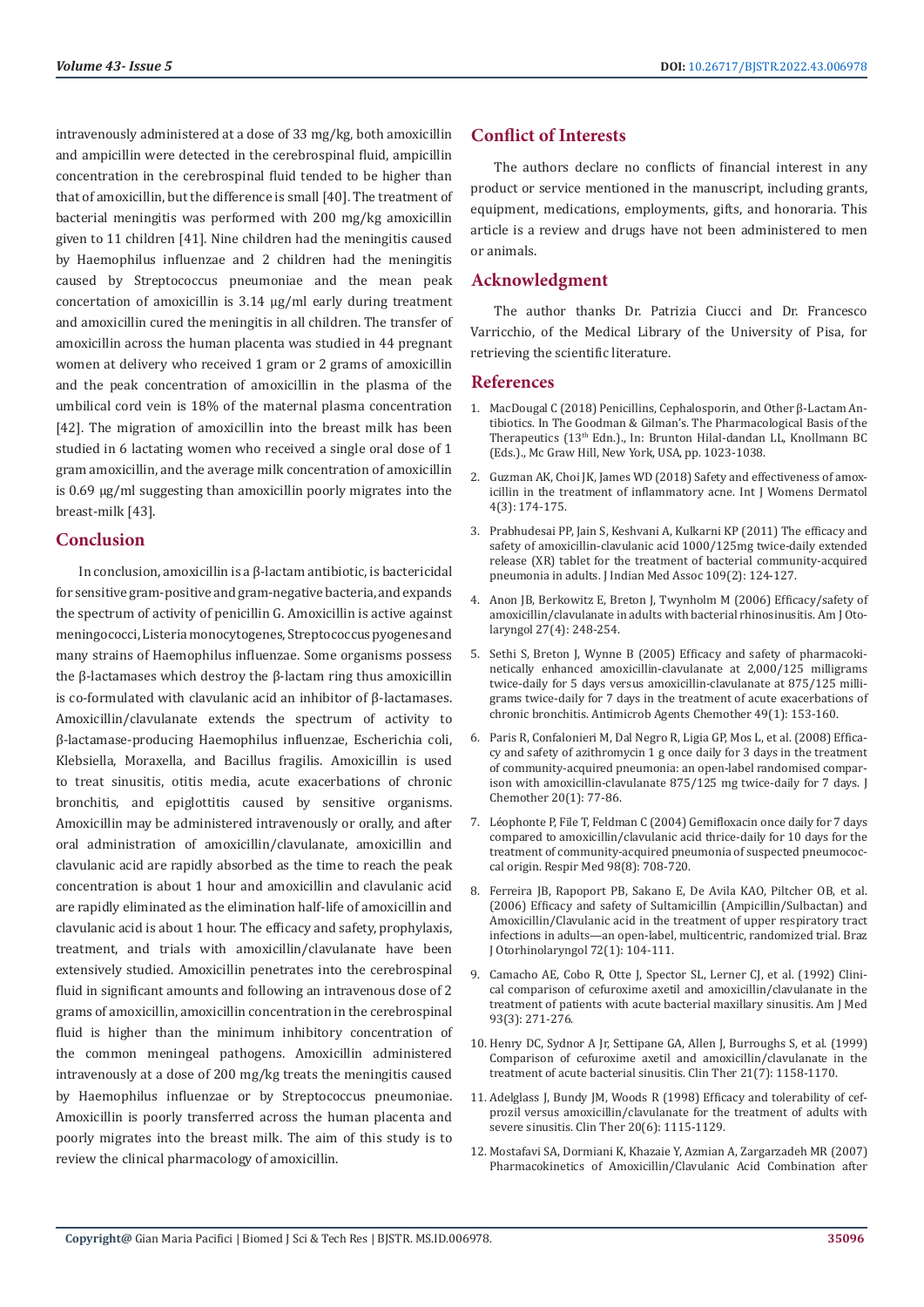intravenously administered at a dose of 33 mg/kg, both amoxicillin and ampicillin were detected in the cerebrospinal fluid, ampicillin concentration in the cerebrospinal fluid tended to be higher than that of amoxicillin, but the difference is small [40]. The treatment of bacterial meningitis was performed with 200 mg/kg amoxicillin given to 11 children [41]. Nine children had the meningitis caused by Haemophilus influenzae and 2 children had the meningitis caused by Streptococcus pneumoniae and the mean peak concertation of amoxicillin is 3.14 µg/ml early during treatment and amoxicillin cured the meningitis in all children. The transfer of amoxicillin across the human placenta was studied in 44 pregnant women at delivery who received 1 gram or 2 grams of amoxicillin and the peak concentration of amoxicillin in the plasma of the umbilical cord vein is 18% of the maternal plasma concentration [42]. The migration of amoxicillin into the breast milk has been studied in 6 lactating women who received a single oral dose of 1 gram amoxicillin, and the average milk concentration of amoxicillin is 0.69 µg/ml suggesting than amoxicillin poorly migrates into the breast-milk [43].

#### **Conclusion**

In conclusion, amoxicillin is a β-lactam antibiotic, is bactericidal for sensitive gram-positive and gram-negative bacteria, and expands the spectrum of activity of penicillin G. Amoxicillin is active against meningococci, Listeria monocytogenes, Streptococcus pyogenes and many strains of Haemophilus influenzae. Some organisms possess the β-lactamases which destroy the β-lactam ring thus amoxicillin is co-formulated with clavulanic acid an inhibitor of β-lactamases. Amoxicillin/clavulanate extends the spectrum of activity to β-lactamase-producing Haemophilus influenzae, Escherichia coli, Klebsiella, Moraxella, and Bacillus fragilis. Amoxicillin is used to treat sinusitis, otitis media, acute exacerbations of chronic bronchitis, and epiglottitis caused by sensitive organisms. Amoxicillin may be administered intravenously or orally, and after oral administration of amoxicillin/clavulanate, amoxicillin and clavulanic acid are rapidly absorbed as the time to reach the peak concentration is about 1 hour and amoxicillin and clavulanic acid are rapidly eliminated as the elimination half-life of amoxicillin and clavulanic acid is about 1 hour. The efficacy and safety, prophylaxis, treatment, and trials with amoxicillin/clavulanate have been extensively studied. Amoxicillin penetrates into the cerebrospinal fluid in significant amounts and following an intravenous dose of 2 grams of amoxicillin, amoxicillin concentration in the cerebrospinal fluid is higher than the minimum inhibitory concentration of the common meningeal pathogens. Amoxicillin administered intravenously at a dose of 200 mg/kg treats the meningitis caused by Haemophilus influenzae or by Streptococcus pneumoniae. Amoxicillin is poorly transferred across the human placenta and poorly migrates into the breast milk. The aim of this study is to review the clinical pharmacology of amoxicillin.

#### **Conflict of Interests**

The authors declare no conflicts of financial interest in any product or service mentioned in the manuscript, including grants, equipment, medications, employments, gifts, and honoraria. This article is a review and drugs have not been administered to men or animals.

#### **Acknowledgment**

The author thanks Dr. Patrizia Ciucci and Dr. Francesco Varricchio, of the Medical Library of the University of Pisa, for retrieving the scientific literature.

#### **References**

- 1. MacDougal C (2018) Penicillins, Cephalosporin, and Other β-Lactam Antibiotics. In The Goodman & Gilman's. The Pharmacological Basis of the Therapeutics (13<sup>th</sup> Edn.)., In: Brunton Hilal-dandan LL, Knollmann BC (Eds.)., Mc Graw Hill, New York, USA, pp. 1023-1038.
- 2. [Guzman AK, Choi JK, James WD \(2018\) Safety and effectiveness of amox](https://pubmed.ncbi.nlm.nih.gov/30175221/)[icillin in the treatment of inflammatory acne. Int J Womens Dermatol](https://pubmed.ncbi.nlm.nih.gov/30175221/) [4\(3\): 174-175.](https://pubmed.ncbi.nlm.nih.gov/30175221/)
- 3. [Prabhudesai PP, Jain S, Keshvani A, Kulkarni KP \(2011\) The efficacy and](https://pubmed.ncbi.nlm.nih.gov/21888181/) [safety of amoxicillin-clavulanic acid 1000/125mg twice-daily extended](https://pubmed.ncbi.nlm.nih.gov/21888181/) [release \(XR\) tablet for the treatment of bacterial community-acquired](https://pubmed.ncbi.nlm.nih.gov/21888181/) [pneumonia in adults. J Indian Med Assoc 109\(2\): 124-127.](https://pubmed.ncbi.nlm.nih.gov/21888181/)
- 4. [Anon JB, Berkowitz E, Breton J, Twynholm M \(2006\) Efficacy/safety of](https://pubmed.ncbi.nlm.nih.gov/16798401/) [amoxicillin/clavulanate in adults with bacterial rhinosinusitis. Am J Oto](https://pubmed.ncbi.nlm.nih.gov/16798401/)[laryngol 27\(4\): 248-254.](https://pubmed.ncbi.nlm.nih.gov/16798401/)
- 5. [Sethi S, Breton J, Wynne B \(2005\) Efficacy and safety of pharmacoki](https://pubmed.ncbi.nlm.nih.gov/15616290/)[netically enhanced amoxicillin-clavulanate at 2,000/125 milligrams](https://pubmed.ncbi.nlm.nih.gov/15616290/) [twice-daily for 5 days versus amoxicillin-clavulanate at 875/125 milli](https://pubmed.ncbi.nlm.nih.gov/15616290/)[grams twice-daily for 7 days in the treatment of acute exacerbations of](https://pubmed.ncbi.nlm.nih.gov/15616290/) [chronic bronchitis. Antimicrob Agents Chemother 49\(1\): 153-160.](https://pubmed.ncbi.nlm.nih.gov/15616290/)
- 6. [Paris R, Confalonieri M, Dal Negro R, Ligia GP, Mos L, et al. \(2008\) Effica](https://pubmed.ncbi.nlm.nih.gov/18343748/)[cy and safety of azithromycin 1 g once daily for 3 days in the treatment](https://pubmed.ncbi.nlm.nih.gov/18343748/) [of community-acquired pneumonia: an open-label randomised compar](https://pubmed.ncbi.nlm.nih.gov/18343748/)[ison with amoxicillin-clavulanate 875/125 mg twice-daily for 7 days. J](https://pubmed.ncbi.nlm.nih.gov/18343748/) [Chemother 20\(1\): 77-86.](https://pubmed.ncbi.nlm.nih.gov/18343748/)
- 7. [Léophonte P, File T, Feldman C \(2004\) Gemifloxacin once daily for 7 days](https://pubmed.ncbi.nlm.nih.gov/15303634/) [compared to amoxicillin/clavulanic acid thrice-daily for 10 days for the](https://pubmed.ncbi.nlm.nih.gov/15303634/) [treatment of community-acquired pneumonia of suspected pneumococ](https://pubmed.ncbi.nlm.nih.gov/15303634/)[cal origin. Respir Med 98\(8\): 708-720.](https://pubmed.ncbi.nlm.nih.gov/15303634/)
- 8. [Ferreira JB, Rapoport PB, Sakano E, De Avila KAO, Piltcher OB, et al.](https://pubmed.ncbi.nlm.nih.gov/16917560/) [\(2006\) Efficacy and safety of Sultamicillin \(Ampicillin/Sulbactan\) and](https://pubmed.ncbi.nlm.nih.gov/16917560/) [Amoxicillin/Clavulanic acid in the treatment of upper respiratory tract](https://pubmed.ncbi.nlm.nih.gov/16917560/) [infections in adults—an open-label, multicentric, randomized trial. Braz](https://pubmed.ncbi.nlm.nih.gov/16917560/) [J Otorhinolaryngol 72\(1\): 104-111.](https://pubmed.ncbi.nlm.nih.gov/16917560/)
- 9. [Camacho AE, Cobo R, Otte J, Spector SL, Lerner CJ, et al. \(1992\) Clini](https://pubmed.ncbi.nlm.nih.gov/1524078/)[cal comparison of cefuroxime axetil and amoxicillin/clavulanate in the](https://pubmed.ncbi.nlm.nih.gov/1524078/) [treatment of patients with acute bacterial maxillary sinusitis. Am J Med](https://pubmed.ncbi.nlm.nih.gov/1524078/) [93\(3\): 271-276.](https://pubmed.ncbi.nlm.nih.gov/1524078/)
- 10. [Henry DC, Sydnor A Jr, Settipane GA, Allen J, Burroughs S, et al. \(1999\)](https://pubmed.ncbi.nlm.nih.gov/10463514/) [Comparison of cefuroxime axetil and amoxicillin/clavulanate in the](https://pubmed.ncbi.nlm.nih.gov/10463514/) [treatment of acute bacterial sinusitis. Clin Ther 21\(7\): 1158-1170.](https://pubmed.ncbi.nlm.nih.gov/10463514/)
- 11. [Adelglass J, Bundy JM, Woods R \(1998\) Efficacy and tolerability of cef](https://pubmed.ncbi.nlm.nih.gov/9916606/)[prozil versus amoxicillin/clavulanate for the treatment of adults with](https://pubmed.ncbi.nlm.nih.gov/9916606/) [severe sinusitis. Clin Ther 20\(6\): 1115-1129.](https://pubmed.ncbi.nlm.nih.gov/9916606/)
- 12. Mostafavi SA, Dormiani K, Khazaie Y, Azmian A, Zargarzadeh MR (2007) Pharmacokinetics of Amoxicillin/Clavulanic Acid Combination after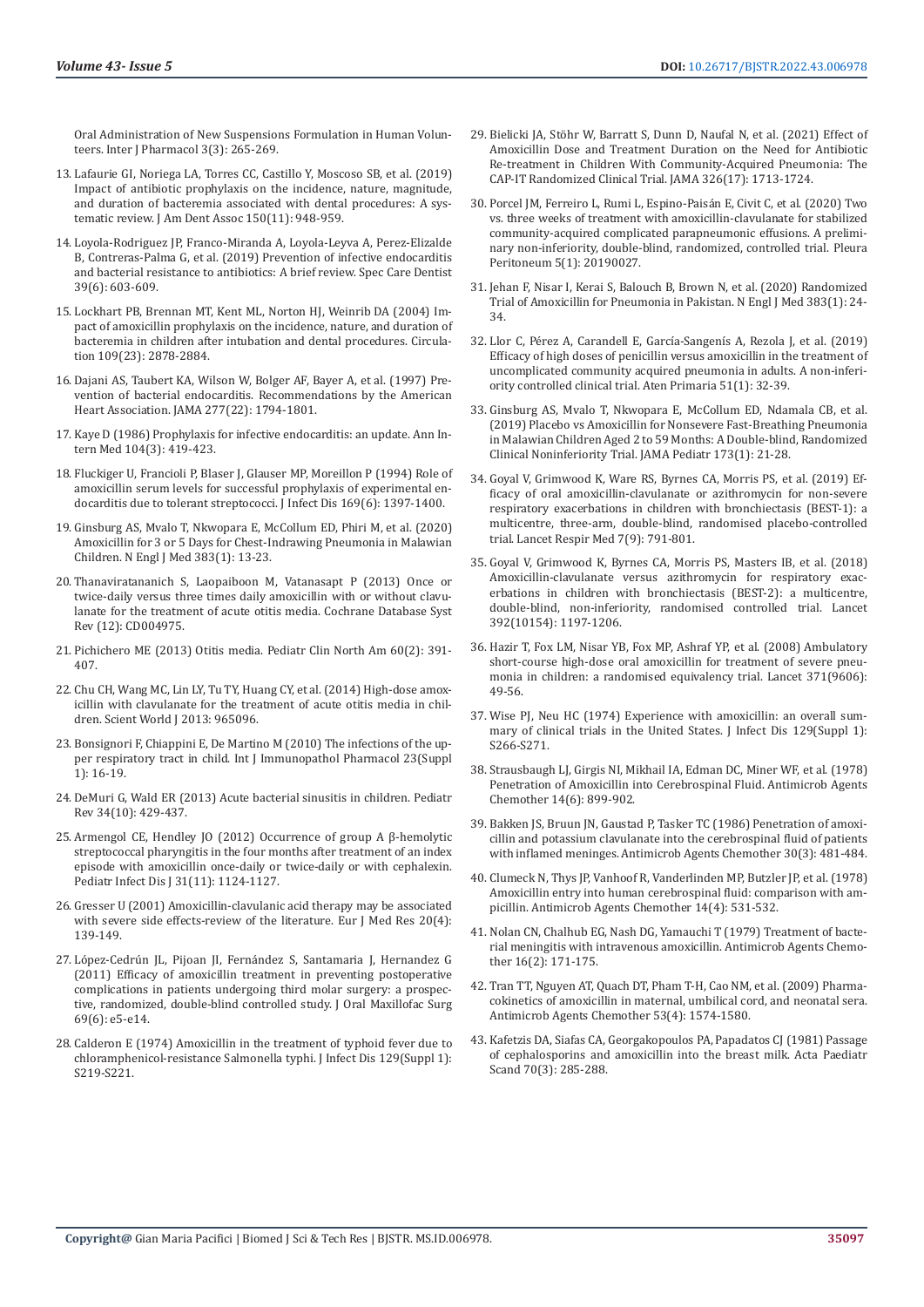Oral Administration of New Suspensions Formulation in Human Volunteers. Inter J Pharmacol 3(3): 265-269.

- 13. [Lafaurie GI, Noriega LA, Torres CC, Castillo Y, Moscoso SB, et al. \(2019\)](https://pubmed.ncbi.nlm.nih.gov/31561837/)  [Impact of antibiotic prophylaxis on the incidence, nature, magnitude,](https://pubmed.ncbi.nlm.nih.gov/31561837/)  [and duration of bacteremia associated with dental procedures: A sys](https://pubmed.ncbi.nlm.nih.gov/31561837/)[tematic review. J Am Dent Assoc 150\(11\): 948-959.](https://pubmed.ncbi.nlm.nih.gov/31561837/)
- 14. [Loyola-Rodriguez JP, Franco-Miranda A, Loyola-Leyva A, Perez-Elizalde](https://pubmed.ncbi.nlm.nih.gov/31464005/)  [B, Contreras-Palma G, et al. \(2019\) Prevention of infective endocarditis](https://pubmed.ncbi.nlm.nih.gov/31464005/)  [and bacterial resistance to antibiotics: A brief review. Spec Care Dentist](https://pubmed.ncbi.nlm.nih.gov/31464005/)  [39\(6\): 603-609.](https://pubmed.ncbi.nlm.nih.gov/31464005/)
- 15. [Lockhart PB, Brennan MT, Kent ML, Norton HJ, Weinrib DA \(2004\) Im](https://pubmed.ncbi.nlm.nih.gov/15173031/)[pact of amoxicillin prophylaxis on the incidence, nature, and duration of](https://pubmed.ncbi.nlm.nih.gov/15173031/)  [bacteremia in children after intubation and dental procedures. Circula](https://pubmed.ncbi.nlm.nih.gov/15173031/)[tion 109\(23\): 2878-2884.](https://pubmed.ncbi.nlm.nih.gov/15173031/)
- 16. [Dajani AS, Taubert KA, Wilson W, Bolger AF, Bayer A, et al. \(1997\) Pre](https://pubmed.ncbi.nlm.nih.gov/9178793/)[vention of bacterial endocarditis. Recommendations by the American](https://pubmed.ncbi.nlm.nih.gov/9178793/)  [Heart Association. JAMA 277\(22\): 1794-1801.](https://pubmed.ncbi.nlm.nih.gov/9178793/)
- 17. Kaye D (1986) Prophylaxis for infective endocarditis: an update. Ann Intern Med 104(3): 419-423.
- 18. [Fluckiger U, Francioli P, Blaser J, Glauser MP, Moreillon P \(1994\) Role of](https://pubmed.ncbi.nlm.nih.gov/8195626/)  [amoxicillin serum levels for successful prophylaxis of experimental en](https://pubmed.ncbi.nlm.nih.gov/8195626/)[docarditis due to tolerant streptococci. J Infect Dis 169\(6\): 1397-1400.](https://pubmed.ncbi.nlm.nih.gov/8195626/)
- 19. [Ginsburg AS, Mvalo T, Nkwopara E, McCollum ED, Phiri M, et al. \(2020\)](https://pubmed.ncbi.nlm.nih.gov/32609979/)  [Amoxicillin for 3 or 5 Days for Chest-Indrawing Pneumonia in Malawian](https://pubmed.ncbi.nlm.nih.gov/32609979/)  [Children. N Engl J Med 383\(1\): 13-23.](https://pubmed.ncbi.nlm.nih.gov/32609979/)
- 20. Thanaviratananich S, Laopaiboon M, Vatanasapt P (2013) Once or twice-daily versus three times daily amoxicillin with or without clavulanate for the treatment of acute otitis media. Cochrane Database Syst Rev (12): CD004975.
- 21. [Pichichero ME \(2013\) Otitis media. Pediatr Clin North Am 60\(2\): 391-](https://pubmed.ncbi.nlm.nih.gov/23481107/) [407.](https://pubmed.ncbi.nlm.nih.gov/23481107/)
- 22. [Chu CH, Wang MC, Lin LY, Tu TY, Huang CY, et al. \(2014\) High-dose amox](https://pubmed.ncbi.nlm.nih.gov/24523659/)[icillin with clavulanate for the treatment of acute otitis media in chil](https://pubmed.ncbi.nlm.nih.gov/24523659/)[dren. Scient World J 2013: 965096.](https://pubmed.ncbi.nlm.nih.gov/24523659/)
- 23. [Bonsignori F, Chiappini E, De Martino M \(2010\) The infections of the up](https://pubmed.ncbi.nlm.nih.gov/20152073/)[per respiratory tract in child. Int J Immunopathol Pharmacol 23\(Suppl](https://pubmed.ncbi.nlm.nih.gov/20152073/)  [1\): 16-19.](https://pubmed.ncbi.nlm.nih.gov/20152073/)
- 24. [DeMuri G, Wald ER \(2013\) Acute bacterial sinusitis in children. Pediatr](https://pubmed.ncbi.nlm.nih.gov/24085791/)  [Rev 34\(10\): 429-437.](https://pubmed.ncbi.nlm.nih.gov/24085791/)
- 25. [Armengol CE, Hendley JO \(2012\) Occurrence of group A β-hemolytic](https://pubmed.ncbi.nlm.nih.gov/22668807/)  [streptococcal pharyngitis in the four months after treatment of an index](https://pubmed.ncbi.nlm.nih.gov/22668807/)  [episode with amoxicillin once-daily or twice-daily or with cephalexin.](https://pubmed.ncbi.nlm.nih.gov/22668807/)  [Pediatr Infect Dis J 31\(11\): 1124-1127.](https://pubmed.ncbi.nlm.nih.gov/22668807/)
- 26. Gresser U (2001) Amoxicillin-clavulanic acid therapy may be associated with severe side effects-review of the literature. Eur J Med Res 20(4): 139-149.
- 27. [López-Cedrún JL, Pijoan JI, Fernández S, Santamaria J, Hernandez G](https://pubmed.ncbi.nlm.nih.gov/21470751/)  [\(2011\) Efficacy of amoxicillin treatment in preventing postoperative](https://pubmed.ncbi.nlm.nih.gov/21470751/)  [complications in patients undergoing third molar surgery: a prospec](https://pubmed.ncbi.nlm.nih.gov/21470751/)[tive, randomized, double-blind controlled study. J Oral Maxillofac Surg](https://pubmed.ncbi.nlm.nih.gov/21470751/)  [69\(6\): e5-e14.](https://pubmed.ncbi.nlm.nih.gov/21470751/)
- 28. [Calderon E \(1974\) Amoxicillin in the treatment of typhoid fever due to](https://pubmed.ncbi.nlm.nih.gov/4495161/)  [chloramphenicol-resistance Salmonella typhi. J Infect Dis 129\(Suppl 1\):](https://pubmed.ncbi.nlm.nih.gov/4495161/)  [S219-S221.](https://pubmed.ncbi.nlm.nih.gov/4495161/)
- 29. [Bielicki JA, Stöhr W, Barratt S, Dunn D, Naufal N, et al. \(2021\) Effect of](https://pubmed.ncbi.nlm.nih.gov/34726708/) [Amoxicillin Dose and Treatment Duration on the Need for Antibiotic](https://pubmed.ncbi.nlm.nih.gov/34726708/) [Re-treatment in Children With Community-Acquired Pneumonia: The](https://pubmed.ncbi.nlm.nih.gov/34726708/) [CAP-IT Randomized Clinical Trial. JAMA 326\(17\): 1713-1724.](https://pubmed.ncbi.nlm.nih.gov/34726708/)
- 30. [Porcel JM, Ferreiro L, Rumi L, Espino-Paisán E, Civit C, et al. \(2020\) Two](https://pubmed.ncbi.nlm.nih.gov/32934974/) [vs. three weeks of treatment with amoxicillin-clavulanate for stabilized](https://pubmed.ncbi.nlm.nih.gov/32934974/) [community-acquired complicated parapneumonic effusions. A prelimi](https://pubmed.ncbi.nlm.nih.gov/32934974/)[nary non-inferiority, double-blind, randomized, controlled trial. Pleura](https://pubmed.ncbi.nlm.nih.gov/32934974/) [Peritoneum 5\(1\): 20190027.](https://pubmed.ncbi.nlm.nih.gov/32934974/)
- 31. [Jehan F, Nisar I, Kerai S, Balouch B, Brown N, et al. \(2020\) Randomized](https://pubmed.ncbi.nlm.nih.gov/32609980/) [Trial of Amoxicillin for Pneumonia in Pakistan. N Engl J Med 383\(1\): 24-](https://pubmed.ncbi.nlm.nih.gov/32609980/) [34.](https://pubmed.ncbi.nlm.nih.gov/32609980/)
- 32. [Llor C, Pérez A, Carandell E, García-Sangenís A, Rezola J, et al. \(2019\)](https://pubmed.ncbi.nlm.nih.gov/29061311/) [Efficacy of high doses of penicillin versus amoxicillin in the treatment of](https://pubmed.ncbi.nlm.nih.gov/29061311/) [uncomplicated community acquired pneumonia in adults. A non-inferi](https://pubmed.ncbi.nlm.nih.gov/29061311/)[ority controlled clinical trial. Aten Primaria 51\(1\): 32-39.](https://pubmed.ncbi.nlm.nih.gov/29061311/)
- 33. [Ginsburg AS, Mvalo T, Nkwopara E, McCollum ED, Ndamala CB, et al.](https://pubmed.ncbi.nlm.nih.gov/30419120/) [\(2019\) Placebo vs Amoxicillin for Nonsevere Fast-Breathing Pneumonia](https://pubmed.ncbi.nlm.nih.gov/30419120/) [in Malawian Children Aged 2 to 59 Months: A Double-blind, Randomized](https://pubmed.ncbi.nlm.nih.gov/30419120/) [Clinical Noninferiority Trial. JAMA Pediatr 173\(1\): 21-28.](https://pubmed.ncbi.nlm.nih.gov/30419120/)
- 34. [Goyal V, Grimwood K, Ware RS, Byrnes CA, Morris PS, et al. \(2019\) Ef](https://pubmed.ncbi.nlm.nih.gov/31427252/)[ficacy of oral amoxicillin-clavulanate or azithromycin for non-severe](https://pubmed.ncbi.nlm.nih.gov/31427252/) [respiratory exacerbations in children with bronchiectasis \(BEST-1\): a](https://pubmed.ncbi.nlm.nih.gov/31427252/) [multicentre, three-arm, double-blind, randomised placebo-controlled](https://pubmed.ncbi.nlm.nih.gov/31427252/) [trial. Lancet Respir Med 7\(9\): 791-801.](https://pubmed.ncbi.nlm.nih.gov/31427252/)
- 35. [Goyal V, Grimwood K, Byrnes CA, Morris PS, Masters IB, et al. \(2018\)](https://pubmed.ncbi.nlm.nih.gov/30241722/) [Amoxicillin-clavulanate versus azithromycin for respiratory exac](https://pubmed.ncbi.nlm.nih.gov/30241722/)[erbations in children with bronchiectasis \(BEST-2\): a multicentre,](https://pubmed.ncbi.nlm.nih.gov/30241722/) [double-blind, non-inferiority, randomised controlled trial. Lancet](https://pubmed.ncbi.nlm.nih.gov/30241722/) [392\(10154\): 1197-1206.](https://pubmed.ncbi.nlm.nih.gov/30241722/)
- 36. [Hazir T, Fox LM, Nisar YB, Fox MP, Ashraf YP, et al. \(2008\) Ambulatory](https://pubmed.ncbi.nlm.nih.gov/18177775/) [short-course high-dose oral amoxicillin for treatment of severe pneu](https://pubmed.ncbi.nlm.nih.gov/18177775/)[monia in children: a randomised equivalency trial. Lancet 371\(9606\):](https://pubmed.ncbi.nlm.nih.gov/18177775/) [49-56.](https://pubmed.ncbi.nlm.nih.gov/18177775/)
- 37. [Wise PJ, Neu HC \(1974\) Experience with amoxicillin: an overall sum](https://pubmed.ncbi.nlm.nih.gov/4276178/)[mary of clinical trials in the United States. J Infect Dis 129\(Suppl 1\):](https://pubmed.ncbi.nlm.nih.gov/4276178/) [S266-S271.](https://pubmed.ncbi.nlm.nih.gov/4276178/)
- 38. [Strausbaugh LJ, Girgis NI, Mikhail IA, Edman DC, Miner WF, et al. \(1978\)](https://pubmed.ncbi.nlm.nih.gov/742877/) [Penetration of Amoxicillin into Cerebrospinal Fluid. Antimicrob Agents](https://pubmed.ncbi.nlm.nih.gov/742877/) [Chemother 14\(6\): 899-902.](https://pubmed.ncbi.nlm.nih.gov/742877/)
- 39. [Bakken JS, Bruun JN, Gaustad P, Tasker TC \(1986\) Penetration of amoxi](https://pubmed.ncbi.nlm.nih.gov/3777911/)[cillin and potassium clavulanate into the cerebrospinal fluid of patients](https://pubmed.ncbi.nlm.nih.gov/3777911/) [with inflamed meninges. Antimicrob Agents Chemother 30\(3\): 481-484.](https://pubmed.ncbi.nlm.nih.gov/3777911/)
- 40. Clumeck N, Thys JP, Vanhoof R, Vanderlinden MP, Butzler JP, et al. (1978) Amoxicillin entry into human cerebrospinal fluid: comparison with ampicillin. Antimicrob Agents Chemother 14(4): 531-532.
- 41. [Nolan CN, Chalhub EG, Nash DG, Yamauchi T \(1979\) Treatment of bacte](https://pubmed.ncbi.nlm.nih.gov/485128/)[rial meningitis with intravenous amoxicillin. Antimicrob Agents Chemo](https://pubmed.ncbi.nlm.nih.gov/485128/)[ther 16\(2\): 171-175.](https://pubmed.ncbi.nlm.nih.gov/485128/)
- 42. [Tran TT, Nguyen AT, Quach DT, Pham T-H, Cao NM, et al. \(2009\) Pharma](https://pubmed.ncbi.nlm.nih.gov/19164154/)[cokinetics of amoxicillin in maternal, umbilical cord, and neonatal sera.](https://pubmed.ncbi.nlm.nih.gov/19164154/) [Antimicrob Agents Chemother 53\(4\): 1574-1580.](https://pubmed.ncbi.nlm.nih.gov/19164154/)
- 43. [Kafetzis DA, Siafas CA, Georgakopoulos PA, Papadatos CJ \(1981\) Passage](https://pubmed.ncbi.nlm.nih.gov/7246123/) [of cephalosporins and amoxicillin into the breast milk. Acta Paediatr](https://pubmed.ncbi.nlm.nih.gov/7246123/) [Scand 70\(3\): 285-288.](https://pubmed.ncbi.nlm.nih.gov/7246123/)